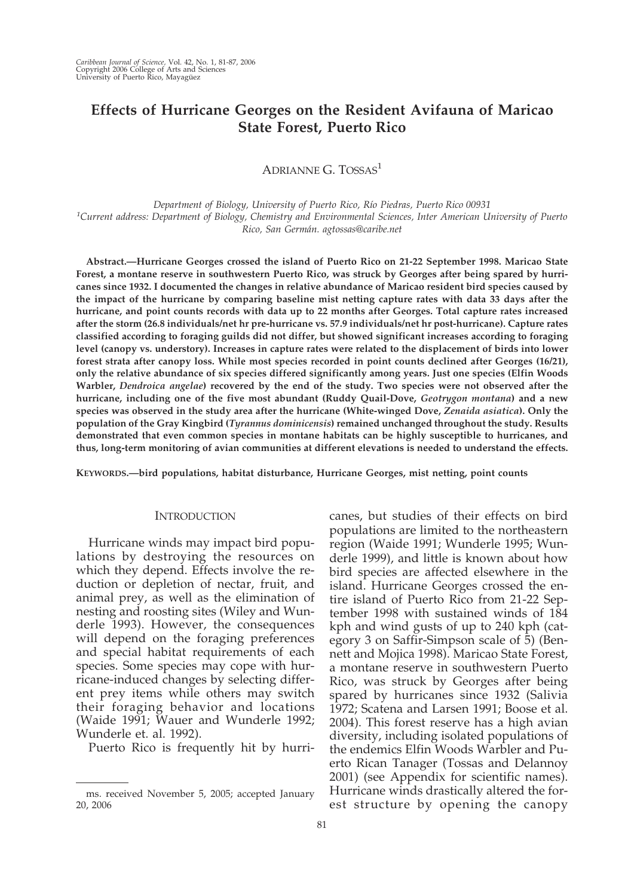# **Effects of Hurricane Georges on the Resident Avifauna of Maricao State Forest, Puerto Rico**

ADRIANNE G. TOSSAS<sup>1</sup>

*Department of Biology, University of Puerto Rico, Río Piedras, Puerto Rico 00931 1 Current address: Department of Biology, Chemistry and Environmental Sciences, Inter American University of Puerto Rico, San Germán. agtossas@caribe.net*

**Abstract.—Hurricane Georges crossed the island of Puerto Rico on 21-22 September 1998. Maricao State Forest, a montane reserve in southwestern Puerto Rico, was struck by Georges after being spared by hurricanes since 1932. I documented the changes in relative abundance of Maricao resident bird species caused by the impact of the hurricane by comparing baseline mist netting capture rates with data 33 days after the hurricane, and point counts records with data up to 22 months after Georges. Total capture rates increased after the storm (26.8 individuals/net hr pre-hurricane vs. 57.9 individuals/net hr post-hurricane). Capture rates classified according to foraging guilds did not differ, but showed significant increases according to foraging level (canopy vs. understory). Increases in capture rates were related to the displacement of birds into lower forest strata after canopy loss. While most species recorded in point counts declined after Georges (16/21), only the relative abundance of six species differed significantly among years. Just one species (Elfin Woods Warbler,** *Dendroica angelae***) recovered by the end of the study. Two species were not observed after the hurricane, including one of the five most abundant (Ruddy Quail-Dove,** *Geotrygon montana***) and a new species was observed in the study area after the hurricane (White-winged Dove,** *Zenaida asiatica***). Only the population of the Gray Kingbird (***Tyrannus dominicensis***) remained unchanged throughout the study. Results demonstrated that even common species in montane habitats can be highly susceptible to hurricanes, and thus, long-term monitoring of avian communities at different elevations is needed to understand the effects.**

**KEYWORDS.—bird populations, habitat disturbance, Hurricane Georges, mist netting, point counts**

### **INTRODUCTION**

Hurricane winds may impact bird populations by destroying the resources on which they depend. Effects involve the reduction or depletion of nectar, fruit, and animal prey, as well as the elimination of nesting and roosting sites (Wiley and Wunderle 1993). However, the consequences will depend on the foraging preferences and special habitat requirements of each species. Some species may cope with hurricane-induced changes by selecting different prey items while others may switch their foraging behavior and locations (Waide 1991; Wauer and Wunderle 1992; Wunderle et. al. 1992).

Puerto Rico is frequently hit by hurri-

canes, but studies of their effects on bird populations are limited to the northeastern region (Waide 1991; Wunderle 1995; Wunderle 1999), and little is known about how bird species are affected elsewhere in the island. Hurricane Georges crossed the entire island of Puerto Rico from 21-22 September 1998 with sustained winds of 184 kph and wind gusts of up to 240 kph (category 3 on Saffir-Simpson scale of 5) (Bennett and Mojica 1998). Maricao State Forest, a montane reserve in southwestern Puerto Rico, was struck by Georges after being spared by hurricanes since 1932 (Salivia 1972; Scatena and Larsen 1991; Boose et al. 2004). This forest reserve has a high avian diversity, including isolated populations of the endemics Elfin Woods Warbler and Puerto Rican Tanager (Tossas and Delannoy 2001) (see Appendix for scientific names). Hurricane winds drastically altered the forms. received November 5, 2005; accepted January Hurricane winds drastically altered the for-<br>est structure by opening the canopy est structure by equality and the canopy

<sup>20, 2006</sup>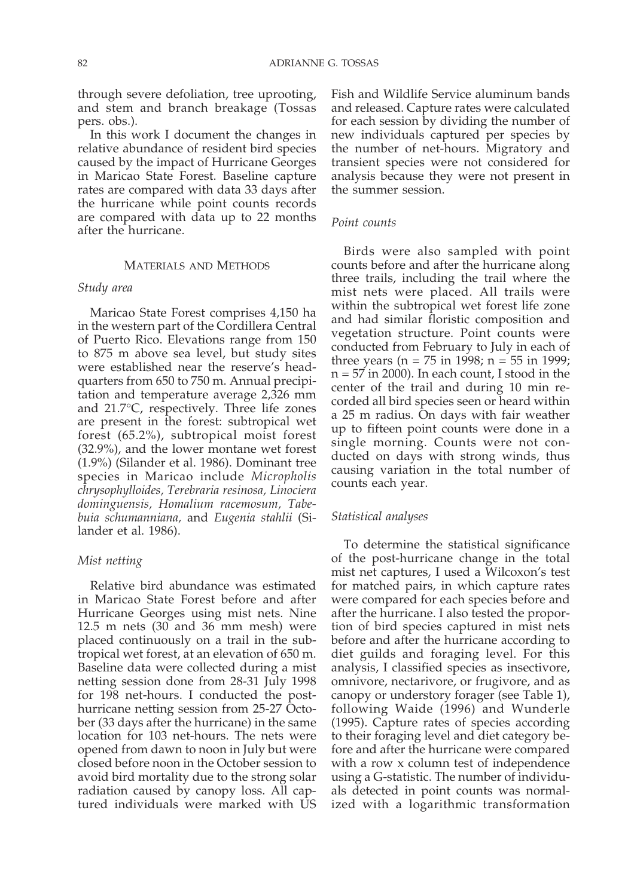through severe defoliation, tree uprooting, and stem and branch breakage (Tossas pers. obs.).

In this work I document the changes in relative abundance of resident bird species caused by the impact of Hurricane Georges in Maricao State Forest. Baseline capture rates are compared with data 33 days after the hurricane while point counts records are compared with data up to 22 months after the hurricane.

#### MATERIALS AND METHODS

### *Study area*

Maricao State Forest comprises 4,150 ha in the western part of the Cordillera Central of Puerto Rico. Elevations range from 150 to 875 m above sea level, but study sites were established near the reserve's headquarters from 650 to 750 m. Annual precipitation and temperature average 2,326 mm and 21.7°C, respectively. Three life zones are present in the forest: subtropical wet forest (65.2%), subtropical moist forest (32.9%), and the lower montane wet forest (1.9%) (Silander et al. 1986). Dominant tree species in Maricao include *Micropholis chrysophylloides, Terebraria resinosa, Linociera dominguensis, Homalium racemosum, Tabebuia schumanniana,* and *Eugenia stahlii* (Silander et al. 1986).

#### *Mist netting*

Relative bird abundance was estimated in Maricao State Forest before and after Hurricane Georges using mist nets. Nine 12.5 m nets (30 and 36 mm mesh) were placed continuously on a trail in the subtropical wet forest, at an elevation of 650 m. Baseline data were collected during a mist netting session done from 28-31 July 1998 for 198 net-hours. I conducted the posthurricane netting session from 25-27 October (33 days after the hurricane) in the same location for 103 net-hours. The nets were opened from dawn to noon in July but were closed before noon in the October session to avoid bird mortality due to the strong solar radiation caused by canopy loss. All captured individuals were marked with US Fish and Wildlife Service aluminum bands and released. Capture rates were calculated for each session by dividing the number of new individuals captured per species by the number of net-hours. Migratory and transient species were not considered for analysis because they were not present in the summer session.

## *Point counts*

Birds were also sampled with point counts before and after the hurricane along three trails, including the trail where the mist nets were placed. All trails were within the subtropical wet forest life zone and had similar floristic composition and vegetation structure. Point counts were conducted from February to July in each of three years ( $n = 75$  in 1998;  $n = 55$  in 1999; n = 57 in 2000). In each count, I stood in the center of the trail and during 10 min recorded all bird species seen or heard within a 25 m radius. On days with fair weather up to fifteen point counts were done in a single morning. Counts were not conducted on days with strong winds, thus causing variation in the total number of counts each year.

#### *Statistical analyses*

To determine the statistical significance of the post-hurricane change in the total mist net captures, I used a Wilcoxon's test for matched pairs, in which capture rates were compared for each species before and after the hurricane. I also tested the proportion of bird species captured in mist nets before and after the hurricane according to diet guilds and foraging level. For this analysis, I classified species as insectivore, omnivore, nectarivore, or frugivore, and as canopy or understory forager (see Table 1), following Waide (1996) and Wunderle (1995). Capture rates of species according to their foraging level and diet category before and after the hurricane were compared with a row x column test of independence using a G-statistic. The number of individuals detected in point counts was normalized with a logarithmic transformation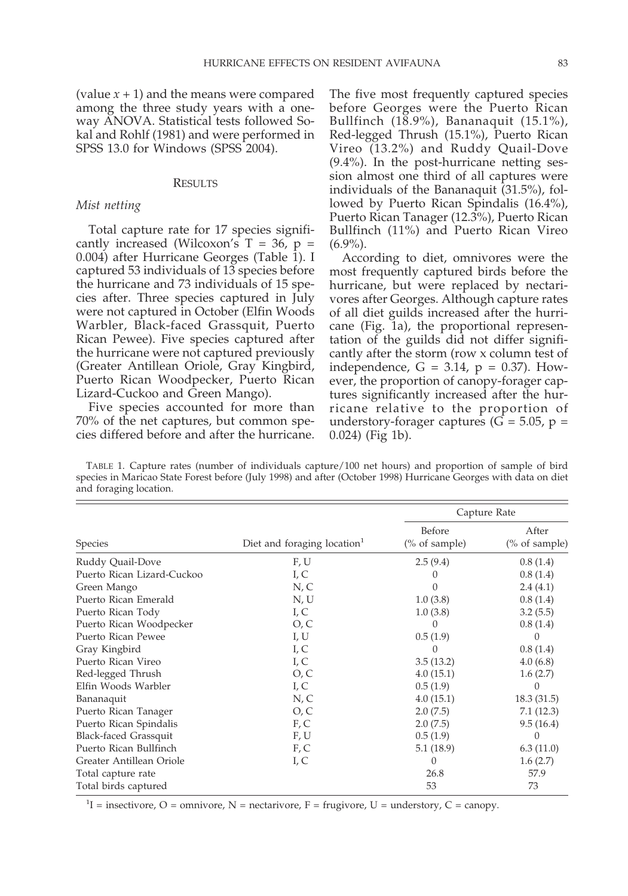(value  $x + 1$ ) and the means were compared among the three study years with a oneway ANOVA. Statistical tests followed Sokal and Rohlf (1981) and were performed in SPSS 13.0 for Windows (SPSS 2004).

#### **RESULTS**

### *Mist netting*

Total capture rate for 17 species significantly increased (Wilcoxon's  $T = 36$ ,  $p =$ 0.004) after Hurricane Georges (Table 1). I captured 53 individuals of 13 species before the hurricane and 73 individuals of 15 species after. Three species captured in July were not captured in October (Elfin Woods Warbler, Black-faced Grassquit, Puerto Rican Pewee). Five species captured after the hurricane were not captured previously (Greater Antillean Oriole, Gray Kingbird, Puerto Rican Woodpecker, Puerto Rican Lizard-Cuckoo and Green Mango).

Five species accounted for more than 70% of the net captures, but common species differed before and after the hurricane.

The five most frequently captured species before Georges were the Puerto Rican Bullfinch (18.9%), Bananaquit (15.1%), Red-legged Thrush (15.1%), Puerto Rican Vireo (13.2%) and Ruddy Quail-Dove (9.4%). In the post-hurricane netting session almost one third of all captures were individuals of the Bananaquit (31.5%), followed by Puerto Rican Spindalis (16.4%), Puerto Rican Tanager (12.3%), Puerto Rican Bullfinch (11%) and Puerto Rican Vireo  $(6.9\%)$ .

According to diet, omnivores were the most frequently captured birds before the hurricane, but were replaced by nectarivores after Georges. Although capture rates of all diet guilds increased after the hurricane (Fig. 1a), the proportional representation of the guilds did not differ significantly after the storm (row x column test of independence,  $G = 3.14$ ,  $p = 0.37$ ). However, the proportion of canopy-forager captures significantly increased after the hurricane relative to the proportion of understory-forager captures ( $G = 5.05$ ,  $p =$ 0.024) (Fig 1b).

TABLE 1. Capture rates (number of individuals capture/100 net hours) and proportion of sample of bird species in Maricao State Forest before (July 1998) and after (October 1998) Hurricane Georges with data on diet and foraging location.

|                              |                                         | Capture Rate               |                        |
|------------------------------|-----------------------------------------|----------------------------|------------------------|
| Species                      | Diet and foraging location <sup>1</sup> | Before<br>$(\%$ of sample) | After<br>(% of sample) |
| Ruddy Quail-Dove             | F, U                                    | 2.5(9.4)                   | 0.8(1.4)               |
| Puerto Rican Lizard-Cuckoo   | I, C                                    | $\Omega$                   | 0.8(1.4)               |
| Green Mango                  | N, C                                    | $\Omega$                   | 2.4(4.1)               |
| Puerto Rican Emerald         | N, U                                    | 1.0(3.8)                   | 0.8(1.4)               |
| Puerto Rican Tody            | I, C                                    | 1.0(3.8)                   | 3.2(5.5)               |
| Puerto Rican Woodpecker      | O, C                                    | $\Omega$                   | 0.8(1.4)               |
| Puerto Rican Pewee           | I, U                                    | 0.5(1.9)                   | $\Omega$               |
| Gray Kingbird                | I, C                                    | $\Omega$                   | 0.8(1.4)               |
| Puerto Rican Vireo           | I, C                                    | 3.5(13.2)                  | 4.0(6.8)               |
| Red-legged Thrush            | O, C                                    | 4.0(15.1)                  | 1.6(2.7)               |
| Elfin Woods Warbler          | I, C                                    | 0.5(1.9)                   | 0                      |
| Bananaquit                   | N, C                                    | 4.0(15.1)                  | 18.3(31.5)             |
| Puerto Rican Tanager         | O, C                                    | 2.0(7.5)                   | 7.1(12.3)              |
| Puerto Rican Spindalis       | F, C                                    | 2.0(7.5)                   | 9.5(16.4)              |
| <b>Black-faced Grassquit</b> | F, U                                    | 0.5(1.9)                   | $\Omega$               |
| Puerto Rican Bullfinch       | F, C                                    | 5.1(18.9)                  | 6.3(11.0)              |
| Greater Antillean Oriole     | I, C                                    | $\Omega$                   | 1.6(2.7)               |
| Total capture rate           |                                         | 26.8                       | 57.9                   |
| Total birds captured         |                                         | 53                         | 73                     |

<sup>1</sup>I = insectivore, O = omnivore, N = nectarivore, F = frugivore, U = understory, C = canopy.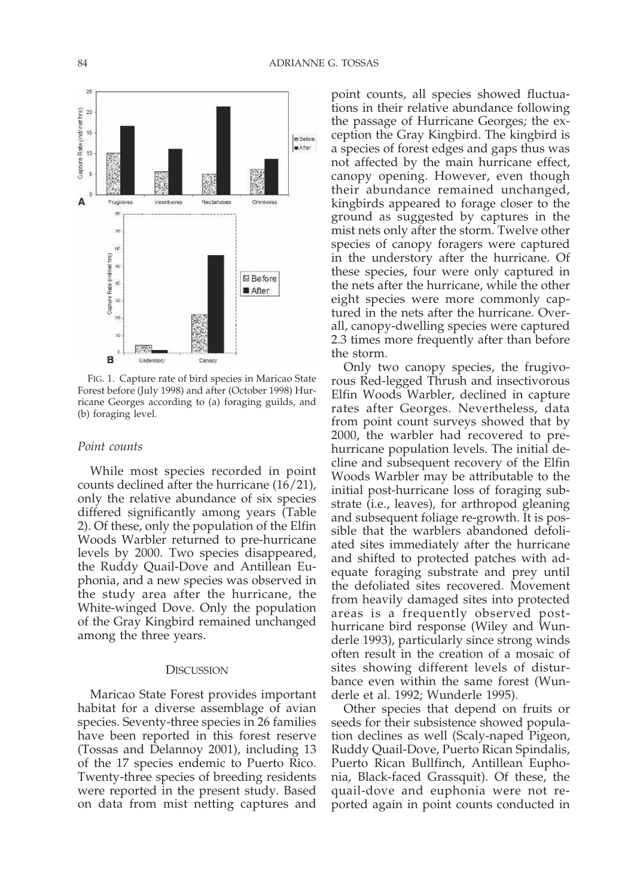

FIG. 1. Capture rate of bird species in Maricao State Forest before (July 1998) and after (October 1998) Hurricane Georges according to (a) foraging guilds, and (b) foraging level.

## *Point counts*

While most species recorded in point counts declined after the hurricane (16/21), only the relative abundance of six species differed significantly among years (Table 2). Of these, only the population of the Elfin Woods Warbler returned to pre-hurricane levels by 2000. Two species disappeared, the Ruddy Quail-Dove and Antillean Euphonia, and a new species was observed in the study area after the hurricane, the White-winged Dove. Only the population of the Gray Kingbird remained unchanged among the three years.

## **DISCUSSION**

Maricao State Forest provides important habitat for a diverse assemblage of avian species. Seventy-three species in 26 families have been reported in this forest reserve (Tossas and Delannoy 2001), including 13 of the 17 species endemic to Puerto Rico. Twenty-three species of breeding residents were reported in the present study. Based on data from mist netting captures and

point counts, all species showed fluctuations in their relative abundance following the passage of Hurricane Georges; the exception the Gray Kingbird. The kingbird is a species of forest edges and gaps thus was not affected by the main hurricane effect, canopy opening. However, even though their abundance remained unchanged, kingbirds appeared to forage closer to the ground as suggested by captures in the mist nets only after the storm. Twelve other species of canopy foragers were captured in the understory after the hurricane. Of these species, four were only captured in the nets after the hurricane, while the other eight species were more commonly captured in the nets after the hurricane. Overall, canopy-dwelling species were captured 2.3 times more frequently after than before the storm.

Only two canopy species, the frugivorous Red-legged Thrush and insectivorous Elfin Woods Warbler, declined in capture rates after Georges. Nevertheless, data from point count surveys showed that by 2000, the warbler had recovered to prehurricane population levels. The initial decline and subsequent recovery of the Elfin Woods Warbler may be attributable to the initial post-hurricane loss of foraging substrate (i.e., leaves), for arthropod gleaning and subsequent foliage re-growth. It is possible that the warblers abandoned defoliated sites immediately after the hurricane and shifted to protected patches with adequate foraging substrate and prey until the defoliated sites recovered. Movement from heavily damaged sites into protected areas is a frequently observed posthurricane bird response (Wiley and Wunderle 1993), particularly since strong winds often result in the creation of a mosaic of sites showing different levels of disturbance even within the same forest (Wunderle et al. 1992; Wunderle 1995).

Other species that depend on fruits or seeds for their subsistence showed population declines as well (Scaly-naped Pigeon, Ruddy Quail-Dove, Puerto Rican Spindalis, Puerto Rican Bullfinch, Antillean Euphonia, Black-faced Grassquit). Of these, the quail-dove and euphonia were not reported again in point counts conducted in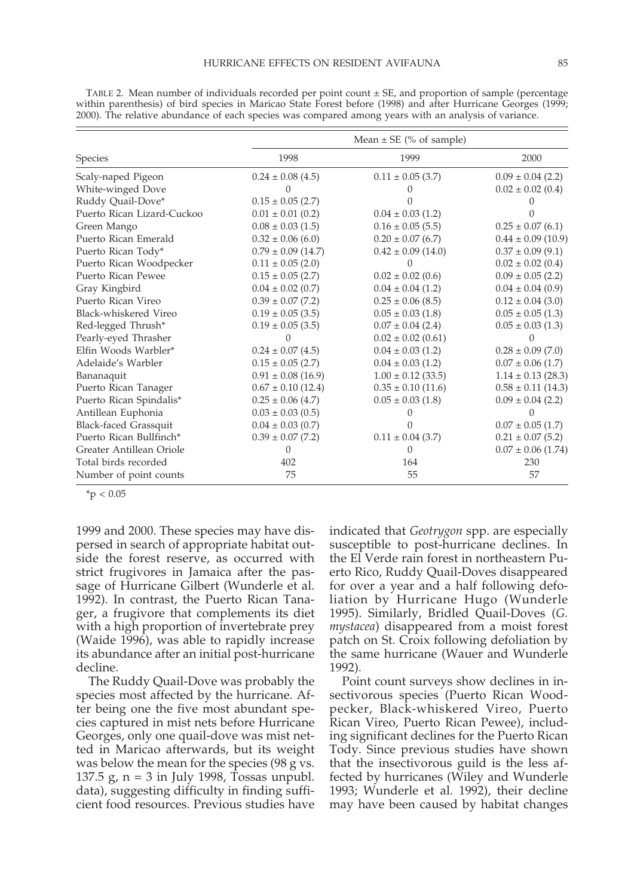|  | v | ×<br>۰.<br>I |
|--|---|--------------|
|  |   |              |

|                            | Mean $\pm$ SE (% of sample) |                        |                        |  |
|----------------------------|-----------------------------|------------------------|------------------------|--|
| Species                    | 1998                        | 1999                   | 2000                   |  |
| Scaly-naped Pigeon         | $0.24 \pm 0.08$ (4.5)       | $0.11 \pm 0.05$ (3.7)  | $0.09 \pm 0.04$ (2.2)  |  |
| White-winged Dove          |                             |                        | $0.02 \pm 0.02$ (0.4)  |  |
| Ruddy Quail-Dove*          | $0.15 \pm 0.05$ (2.7)       |                        |                        |  |
| Puerto Rican Lizard-Cuckoo | $0.01 \pm 0.01$ (0.2)       | $0.04 \pm 0.03$ (1.2)  |                        |  |
| Green Mango                | $0.08 \pm 0.03$ (1.5)       | $0.16 \pm 0.05$ (5.5)  | $0.25 \pm 0.07$ (6.1)  |  |
| Puerto Rican Emerald       | $0.32 \pm 0.06$ (6.0)       | $0.20 \pm 0.07$ (6.7)  | $0.44 \pm 0.09$ (10.9) |  |
| Puerto Rican Tody*         | $0.79 \pm 0.09$ (14.7)      | $0.42 \pm 0.09$ (14.0) | $0.37 \pm 0.09$ (9.1)  |  |
| Puerto Rican Woodpecker    | $0.11 \pm 0.05$ (2.0)       | $\Omega$               | $0.02 \pm 0.02$ (0.4)  |  |
| Puerto Rican Pewee         | $0.15 \pm 0.05$ (2.7)       | $0.02 \pm 0.02$ (0.6)  | $0.09 \pm 0.05$ (2.2)  |  |
| Gray Kingbird              | $0.04 \pm 0.02$ (0.7)       | $0.04 \pm 0.04$ (1.2)  | $0.04 \pm 0.04$ (0.9)  |  |
| Puerto Rican Vireo         | $0.39 \pm 0.07$ (7.2)       | $0.25 \pm 0.06$ (8.5)  | $0.12 \pm 0.04$ (3.0)  |  |
| Black-whiskered Vireo      | $0.19 \pm 0.05$ (3.5)       | $0.05 \pm 0.03$ (1.8)  | $0.05 \pm 0.05$ (1.3)  |  |
| Red-legged Thrush*         | $0.19 \pm 0.05$ (3.5)       | $0.07 \pm 0.04$ (2.4)  | $0.05 \pm 0.03$ (1.3)  |  |
| Pearly-eyed Thrasher       |                             | $0.02 \pm 0.02$ (0.61) |                        |  |
| Elfin Woods Warbler*       | $0.24 \pm 0.07$ (4.5)       | $0.04 \pm 0.03$ (1.2)  | $0.28 \pm 0.09$ (7.0)  |  |
| Adelaide's Warbler         | $0.15 \pm 0.05$ (2.7)       | $0.04 \pm 0.03$ (1.2)  | $0.07 \pm 0.06$ (1.7)  |  |
| Bananaquit                 | $0.91 \pm 0.08$ (16.9)      | $1.00 \pm 0.12$ (33.5) | $1.14 \pm 0.13$ (28.3) |  |
| Puerto Rican Tanager       | $0.67 \pm 0.10$ (12.4)      | $0.35 \pm 0.10$ (11.6) | $0.58 \pm 0.11$ (14.3) |  |
| Puerto Rican Spindalis*    | $0.25 \pm 0.06$ (4.7)       | $0.05 \pm 0.03$ (1.8)  | $0.09 \pm 0.04$ (2.2)  |  |
| Antillean Euphonia         | $0.03 \pm 0.03$ (0.5)       |                        |                        |  |
| Black-faced Grassquit      | $0.04 \pm 0.03$ (0.7)       |                        | $0.07 \pm 0.05$ (1.7)  |  |
| Puerto Rican Bullfinch*    | $0.39 \pm 0.07$ (7.2)       | $0.11 \pm 0.04$ (3.7)  | $0.21 \pm 0.07$ (5.2)  |  |
| Greater Antillean Oriole   | O                           | $\Omega$               | $0.07 \pm 0.06$ (1.74) |  |
| Total birds recorded       | 402                         | 164                    | 230                    |  |
| Number of point counts     | 75                          | 55                     | 57                     |  |

TABLE 2. Mean number of individuals recorded per point count  $\pm$  SE, and proportion of sample (percentage within parenthesis) of bird species in Maricao State Forest before (1998) and after Hurricane Georges (1999; 2000). The relative abundance of each species was compared among years with an analysis of variance.

 $*$ p < 0.05

1999 and 2000. These species may have dispersed in search of appropriate habitat outside the forest reserve, as occurred with strict frugivores in Jamaica after the passage of Hurricane Gilbert (Wunderle et al. 1992). In contrast, the Puerto Rican Tanager, a frugivore that complements its diet with a high proportion of invertebrate prey (Waide 1996), was able to rapidly increase its abundance after an initial post-hurricane decline.

The Ruddy Quail-Dove was probably the species most affected by the hurricane. After being one the five most abundant species captured in mist nets before Hurricane Georges, only one quail-dove was mist netted in Maricao afterwards, but its weight was below the mean for the species (98 g vs. 137.5 g, n = 3 in July 1998, Tossas unpubl. data), suggesting difficulty in finding sufficient food resources. Previous studies have indicated that *Geotrygon* spp. are especially susceptible to post-hurricane declines. In the El Verde rain forest in northeastern Puerto Rico, Ruddy Quail-Doves disappeared for over a year and a half following defoliation by Hurricane Hugo (Wunderle 1995). Similarly, Bridled Quail-Doves (*G. mystacea*) disappeared from a moist forest patch on St. Croix following defoliation by the same hurricane (Wauer and Wunderle 1992).

Point count surveys show declines in insectivorous species (Puerto Rican Woodpecker, Black-whiskered Vireo, Puerto Rican Vireo, Puerto Rican Pewee), including significant declines for the Puerto Rican Tody. Since previous studies have shown that the insectivorous guild is the less affected by hurricanes (Wiley and Wunderle 1993; Wunderle et al. 1992), their decline may have been caused by habitat changes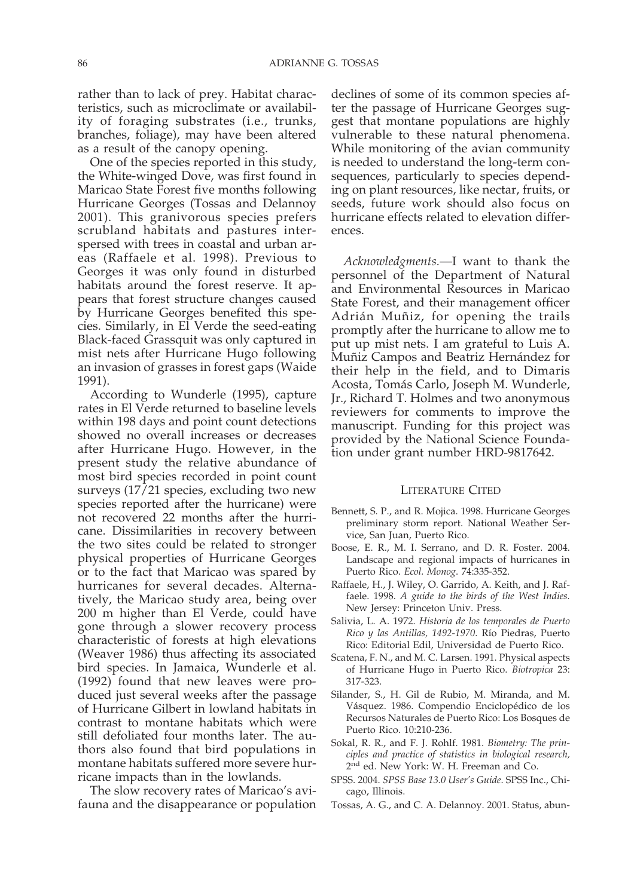rather than to lack of prey. Habitat characteristics, such as microclimate or availability of foraging substrates (i.e., trunks, branches, foliage), may have been altered as a result of the canopy opening.

One of the species reported in this study, the White-winged Dove, was first found in Maricao State Forest five months following Hurricane Georges (Tossas and Delannoy 2001). This granivorous species prefers scrubland habitats and pastures interspersed with trees in coastal and urban areas (Raffaele et al. 1998). Previous to Georges it was only found in disturbed habitats around the forest reserve. It appears that forest structure changes caused by Hurricane Georges benefited this species. Similarly, in El Verde the seed-eating Black-faced Grassquit was only captured in mist nets after Hurricane Hugo following an invasion of grasses in forest gaps (Waide 1991).

According to Wunderle (1995), capture rates in El Verde returned to baseline levels within 198 days and point count detections showed no overall increases or decreases after Hurricane Hugo. However, in the present study the relative abundance of most bird species recorded in point count surveys (17/21 species, excluding two new species reported after the hurricane) were not recovered 22 months after the hurricane. Dissimilarities in recovery between the two sites could be related to stronger physical properties of Hurricane Georges or to the fact that Maricao was spared by hurricanes for several decades. Alternatively, the Maricao study area, being over 200 m higher than El Verde, could have gone through a slower recovery process characteristic of forests at high elevations (Weaver 1986) thus affecting its associated bird species. In Jamaica, Wunderle et al. (1992) found that new leaves were produced just several weeks after the passage of Hurricane Gilbert in lowland habitats in contrast to montane habitats which were still defoliated four months later. The authors also found that bird populations in montane habitats suffered more severe hurricane impacts than in the lowlands.

The slow recovery rates of Maricao's avifauna and the disappearance or population

declines of some of its common species after the passage of Hurricane Georges suggest that montane populations are highly vulnerable to these natural phenomena. While monitoring of the avian community is needed to understand the long-term consequences, particularly to species depending on plant resources, like nectar, fruits, or seeds, future work should also focus on hurricane effects related to elevation differences.

*Acknowledgments.—*I want to thank the personnel of the Department of Natural and Environmental Resources in Maricao State Forest, and their management officer Adrián Muñiz, for opening the trails promptly after the hurricane to allow me to put up mist nets. I am grateful to Luis A. Muñiz Campos and Beatriz Hernández for their help in the field, and to Dimaris Acosta, Tomás Carlo, Joseph M. Wunderle, Jr., Richard T. Holmes and two anonymous reviewers for comments to improve the manuscript. Funding for this project was provided by the National Science Foundation under grant number HRD-9817642.

#### LITERATURE CITED

- Bennett, S. P., and R. Mojica. 1998. Hurricane Georges preliminary storm report. National Weather Service, San Juan, Puerto Rico.
- Boose, E. R., M. I. Serrano, and D. R. Foster. 2004. Landscape and regional impacts of hurricanes in Puerto Rico. *Ecol. Monog*. 74:335-352.
- Raffaele, H., J. Wiley, O. Garrido, A. Keith, and J. Raffaele. 1998. *A guide to the birds of the West Indies.* New Jersey: Princeton Univ. Press.
- Salivia, L. A. 1972. *Historia de los temporales de Puerto Rico y las Antillas, 1492-1970*. Río Piedras, Puerto Rico: Editorial Edil, Universidad de Puerto Rico.
- Scatena, F. N., and M. C. Larsen. 1991. Physical aspects of Hurricane Hugo in Puerto Rico. *Biotropica* 23: 317-323.
- Silander, S., H. Gil de Rubio, M. Miranda, and M. Vásquez. 1986. Compendio Enciclopédico de los Recursos Naturales de Puerto Rico: Los Bosques de Puerto Rico. 10:210-236.
- Sokal, R. R., and F. J. Rohlf. 1981. *Biometry: The principles and practice of statistics in biological research,* 2<sup>nd</sup> ed. New York: W. H. Freeman and Co.
- SPSS. 2004. *SPSS Base 13.0 User's Guide*. SPSS Inc., Chicago, Illinois.
- Tossas, A. G., and C. A. Delannoy. 2001. Status, abun-